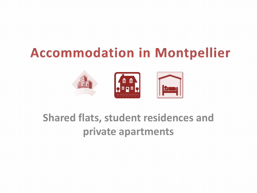# **Accommodation in Montpellier**



## **Shared flats, student residences and**

## **private apartments**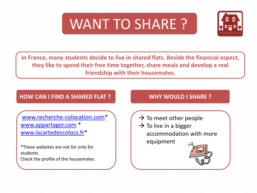



**In France, many students decide to live in shared flats. Beside the financial aspect, they like to spend their free time together, share meals and develop a real friendship with their housemates.** 

## **HOW CAN I FIND A SHARED FLAT ? WHY WOULD I SHARE ?**

[www.recherche-colocation.com\\*](http://www.recherche-colocation.com/recherche.html) [www.appartager.com](http://www.appartager.com/) \* [www.lacartedescolocs.fr\\*](https://www.lacartedescolocs.fr/)

\*These websites are not for only for students. Check the profile of the housemates.

- $\rightarrow$  To meet other people
- $\rightarrow$  To live in a bigger accommodation with more equipment

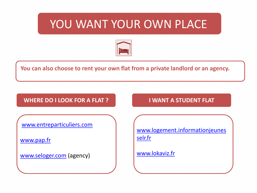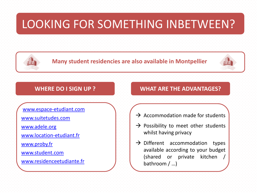

**Many student residencies are also available in Montpellier**



[www.espace-etudiant.com](http://www.espace-etudiant.com/)

[www.suitetudes.com](https://www.suitetudes.com/)

[www.adele.org](https://www.adele.org/residence/)

[www.location-etudiant.fr](https://en.location-etudiant.fr/ecoles-universites-residences/Institut-Montpellier-Management-Montpellier-16883.html)

[www.proby.fr](https://www.proby.fr/)

[www.student.com](https://www.student.com/)

[www.residenceetudiante.fr](https://www.residenceetudiante.fr/montpellier-34.html)

### **WHERE DO I SIGN UP ? WHAT ARE THE ADVANTAGES?**

- $\rightarrow$  Accommodation made for students
- $\rightarrow$  Possibility to meet other students whilst having privacy
- $\rightarrow$  Different accommodation types available according to your budget (shared or private kitchen / bathroom / …)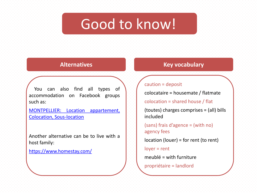# Good to know!

You can also find all types of accommodation on Facebook groups such as:

[MONTPELLIER:](https://fr-fr.facebook.com/groups/857498587635031/?ref=group_header) [Location](https://fr-fr.facebook.com/groups/857498587635031/?ref=group_header) [appartement,](https://fr-fr.facebook.com/groups/857498587635031/?ref=group_header) [Colocation,](https://fr-fr.facebook.com/groups/857498587635031/?ref=group_header) [Sous-location](https://fr-fr.facebook.com/groups/857498587635031/?ref=group_header)

Another alternative can be to live with a host family:

[https://www.homestay.com/](https://www.homestay.com/homestays/search?utf8=%E2%9C%93&search_type=search_box&latitude=43.610769&longitude=3.8767159999999876&country_code=FR&ne_lat=43.6532999&ne_lng=3.9412790000000086&sw_lat=43.566744&sw_lng=3.807044000000019&radius=7243&type=&order=&location_id=&google_place_id=ChIJsZ3dJQevthIRAuiUKHRWh60&price_filter_nights=&location=Montpellier,+France&check_in=&check_out=&guests=1)

### **Alternatives Key vocabulary**

### caution = deposit

colocataire = housemate / flatmate

colocation = shared house / flat

(toutes) charges comprises = (all) bills included

(sans) frais d'agence = (with no) agency fees

location (louer) = for rent (to rent)

loyer = rent

meublé = with furniture

propriétaire = landlord